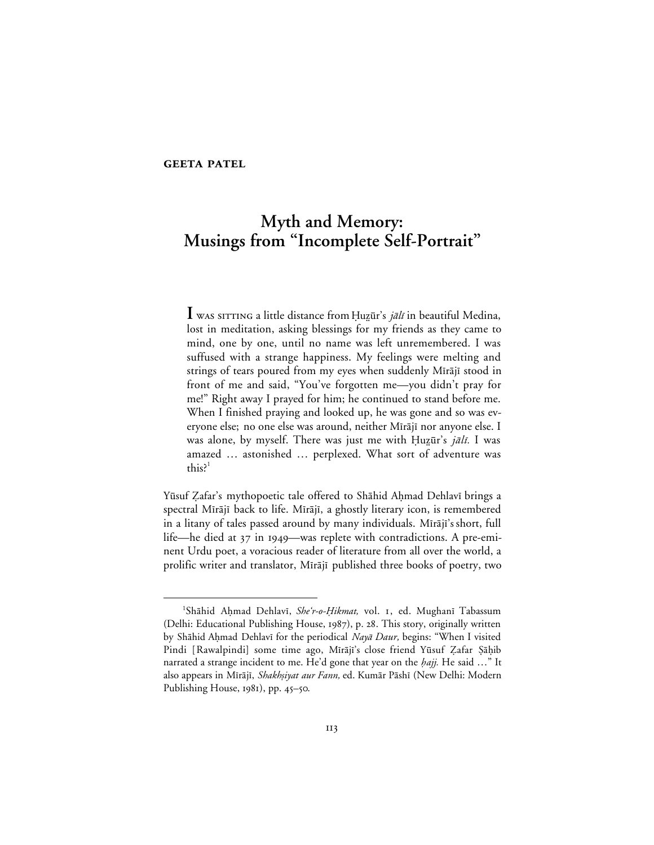#### **GEETA PATEL**

# **Myth and Memory: Musings from "Incomplete Self-Portrait"**

**I** was sitring a little distance from Ḥuẓūr's jālī in beautiful Medina, lost in meditation, asking blessings for my friends as they came to mind, one by one, until no name was left unremembered. I was suffused with a strange happiness. My feelings were melting and strings of tears poured from my eyes when suddenly Mīrājī stood in front of me and said, "You've forgotten me—you didn't pray for me!" Right away I prayed for him; he continued to stand before me. When I finished praying and looked up, he was gone and so was everyone else; no one else was around, neither Mīrājī nor anyone else. I was alone, by myself. There was just me with Huzūr's jālī. I was amazed … astonished … perplexed. What sort of adventure was this? $1$ 

Yūsuf Zafar's mythopoetic tale offered to Shāhid Aḥmad Dehlavī brings a spectral Mīrājī back to life. Mīrājī, a ghostly literary icon, is remembered in a litany of tales passed around by many individuals. Mīrājī's short, full life—he died at  $37$  in 1949—was replete with contradictions. A pre-eminent Urdu poet, a voracious reader of literature from all over the world, a prolific writer and translator, Mīrājī published three books of poetry, two

 $\overline{\phantom{a}}$ <sup>1</sup>Shāhid Aḥmad Dehlavī, She'r-o-Hikmat, vol. 1, ed. Mughanī Tabassum (Delhi: Educational Publishing House, 1987), p. 28. This story, originally written by Shāhid Ahmad Dehlavī for the periodical *Nayā Daur*, begins: "When I visited Pindi [Rawalpindi] some time ago, Mīrājī's close friend Yūsuf Zafar Şāḥib narrated a strange incident to me. He'd gone that year on the *hajj*. He said ..." It also appears in Mīrājī, Shakhṣiyat aur Fann, ed. Kumār Pāshī (New Delhi: Modern Publishing House,  $1981$ , pp.  $45-50$ .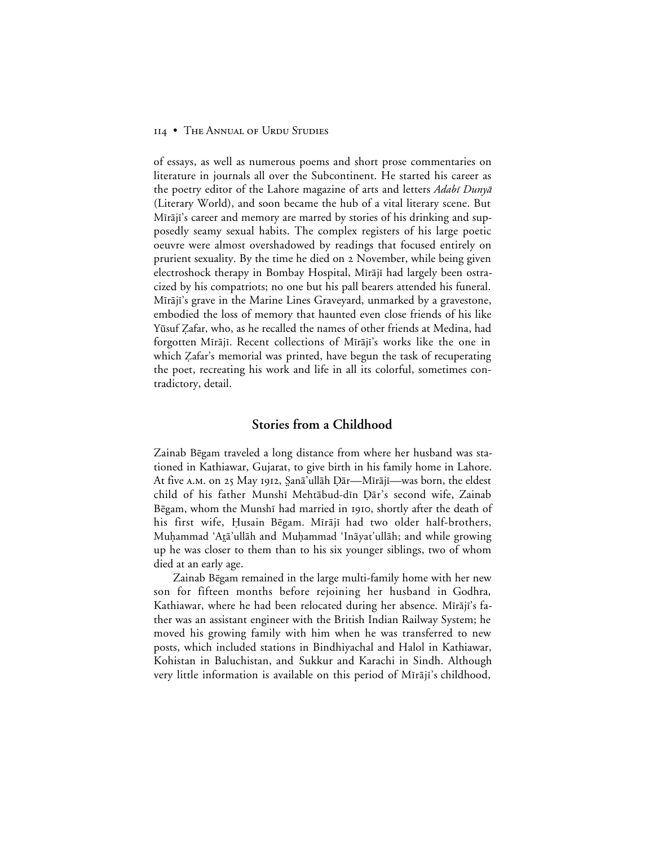#### 114 • THE ANNUAL OF URDU STUDIES

of essays, as well as numerous poems and short prose commentaries on literature in journals all over the Subcontinent. He started his career as the poetry editor of the Lahore magazine of arts and letters Adabī Dunyā (Literary World), and soon became the hub of a vital literary scene. But Mīrājī's career and memory are marred by stories of his drinking and supposedly seamy sexual habits. The complex registers of his large poetic oeuvre were almost overshadowed by readings that focused entirely on prurient sexuality. By the time he died on 2 November, while being given electroshock therapy in Bombay Hospital, Mīrājī had largely been ostracized by his compatriots; no one but his pall bearers attended his funeral. Mīrājī's grave in the Marine Lines Graveyard, unmarked by a gravestone, embodied the loss of memory that haunted even close friends of his like Yūsuf Zafar, who, as he recalled the names of other friends at Medina, had forgotten Mīrājī. Recent collections of Mīrājī's works like the one in which Zafar's memorial was printed, have begun the task of recuperating the poet, recreating his work and life in all its colorful, sometimes contradictory, detail.

## **Stories from a Childhood**

Zainab Bēgam traveled a long distance from where her husband was stationed in Kathiawar, Gujarat, to give birth in his family home in Lahore. At five A.M. on 25 May 1912, Şanā'ullāh Dār—Mīrājī—was born, the eldest child of his father Munshī Mehtābud-dīn Dār's second wife, Zainab Bēgam, whom the Munshī had married in 1910, shortly after the death of his first wife, Husain Bēgam. Mīrājī had two older half-brothers, Muḥammad 'At̪ā'ullāh and Muḥammad 'Ināyat'ullāh; and while growing up he was closer to them than to his six younger siblings, two of whom died at an early age.

Zainab Bēgam remained in the large multi-family home with her new son for fifteen months before rejoining her husband in Godhra, Kathiawar, where he had been relocated during her absence. Mīrājī's father was an assistant engineer with the British Indian Railway System; he moved his growing family with him when he was transferred to new posts, which included stations in Bindhiyachal and Halol in Kathiawar, Kohistan in Baluchistan, and Sukkur and Karachi in Sindh. Although very little information is available on this period of Mīrājī's childhood,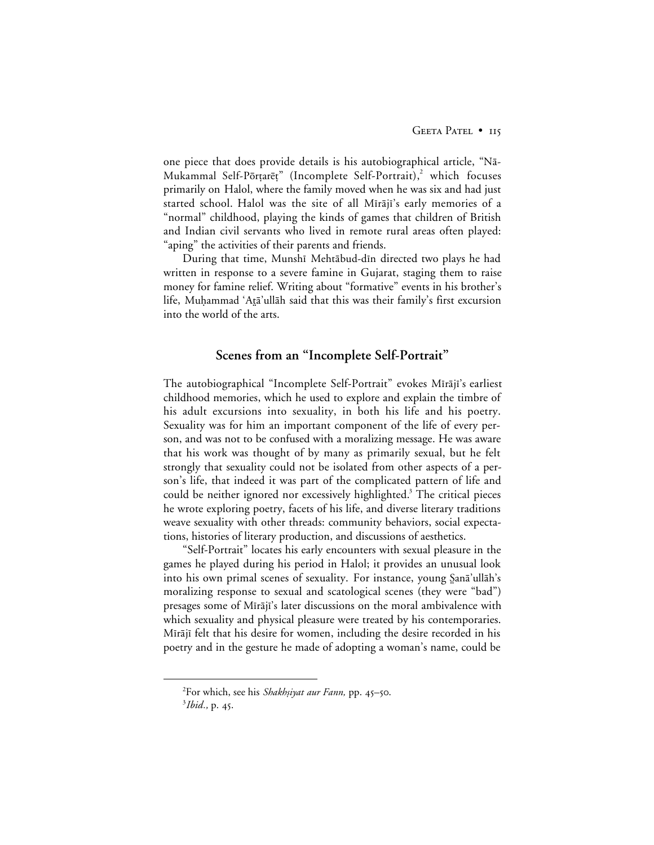one piece that does provide details is his autobiographical article, "Nā-Mukammal Self-Pōrṭarēṭ" (Incomplete Self-Portrait),<sup>2</sup> which focuses primarily on Halol, where the family moved when he was six and had just started school. Halol was the site of all Mīrājī's early memories of a "normal" childhood, playing the kinds of games that children of British and Indian civil servants who lived in remote rural areas often played: "aping" the activities of their parents and friends.

During that time, Munshī Mehtābud-dīn directed two plays he had written in response to a severe famine in Gujarat, staging them to raise money for famine relief. Writing about "formative" events in his brother's life, Muhammad 'Atā'ullāh said that this was their family's first excursion into the world of the arts.

## **Scenes from an "Incomplete Self-Portrait"**

The autobiographical "Incomplete Self-Portrait" evokes Mīrājī's earliest childhood memories, which he used to explore and explain the timbre of his adult excursions into sexuality, in both his life and his poetry. Sexuality was for him an important component of the life of every person, and was not to be confused with a moralizing message. He was aware that his work was thought of by many as primarily sexual, but he felt strongly that sexuality could not be isolated from other aspects of a person's life, that indeed it was part of the complicated pattern of life and could be neither ignored nor excessively highlighted.<sup>3</sup> The critical pieces he wrote exploring poetry, facets of his life, and diverse literary traditions weave sexuality with other threads: community behaviors, social expectations, histories of literary production, and discussions of aesthetics.

"Self-Portrait" locates his early encounters with sexual pleasure in the games he played during his period in Halol; it provides an unusual look into his own primal scenes of sexuality. For instance, young Şanā'ullāh's moralizing response to sexual and scatological scenes (they were "bad") presages some of Mīrājī's later discussions on the moral ambivalence with which sexuality and physical pleasure were treated by his contemporaries. Mīrājī felt that his desire for women, including the desire recorded in his poetry and in the gesture he made of adopting a woman's name, could be

 $\overline{a}$ <sup>2</sup>For which, see his *Shakhsiyat aur Fann*, pp. 45–50.

<sup>&</sup>lt;sup>3</sup>*Ibid.*, p. 45.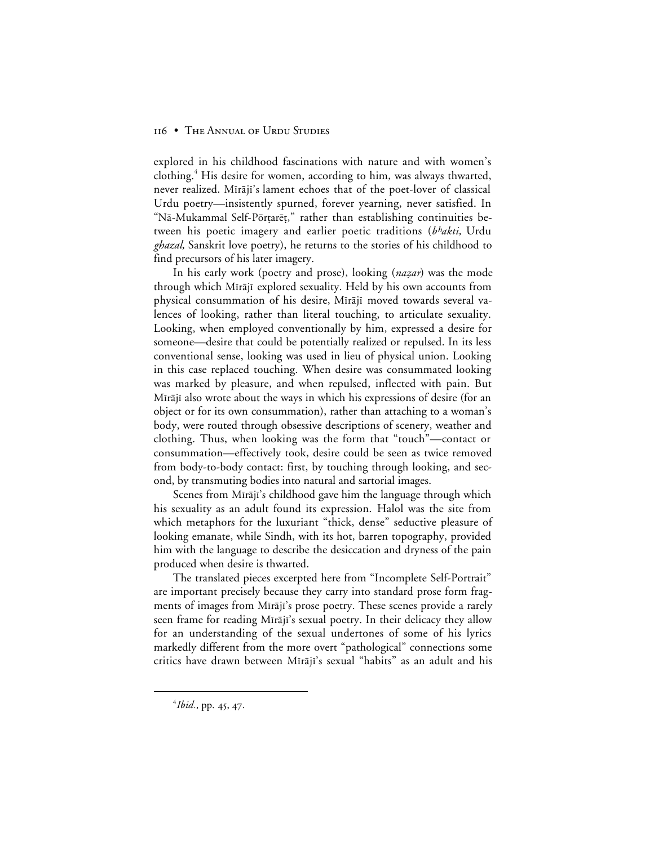#### 116 • THE ANNUAL OF URDU STUDIES

explored in his childhood fascinations with nature and with women's clothing.<sup>4</sup> His desire for women, according to him, was always thwarted, never realized. Mīrājī's lament echoes that of the poet-lover of classical Urdu poetry—insistently spurned, forever yearning, never satisfied. In "Nā-Mukammal Self-Pōrṭarēṭ," rather than establishing continuities between his poetic imagery and earlier poetic traditions ( $b<sup>h</sup>akti$ , Urdu *ghazal,* Sanskrit love poetry), he returns to the stories of his childhood to find precursors of his later imagery.

In his early work (poetry and prose), looking (*nazar*) was the mode through which Mīrājī explored sexuality. Held by his own accounts from physical consummation of his desire, Mīrājī moved towards several valences of looking, rather than literal touching, to articulate sexuality. Looking, when employed conventionally by him, expressed a desire for someone—desire that could be potentially realized or repulsed. In its less conventional sense, looking was used in lieu of physical union. Looking in this case replaced touching. When desire was consummated looking was marked by pleasure, and when repulsed, inflected with pain. But Mīrājī also wrote about the ways in which his expressions of desire (for an object or for its own consummation), rather than attaching to a woman's body, were routed through obsessive descriptions of scenery, weather and clothing. Thus, when looking was the form that "touch"—contact or consummation—effectively took, desire could be seen as twice removed from body-to-body contact: first, by touching through looking, and second, by transmuting bodies into natural and sartorial images.

Scenes from Mīrājī's childhood gave him the language through which his sexuality as an adult found its expression. Halol was the site from which metaphors for the luxuriant "thick, dense" seductive pleasure of looking emanate, while Sindh, with its hot, barren topography, provided him with the language to describe the desiccation and dryness of the pain produced when desire is thwarted.

The translated pieces excerpted here from "Incomplete Self-Portrait" are important precisely because they carry into standard prose form fragments of images from Mīrājī's prose poetry. These scenes provide a rarely seen frame for reading Mīrājī's sexual poetry. In their delicacy they allow for an understanding of the sexual undertones of some of his lyrics markedly different from the more overt "pathological" connections some critics have drawn between Mīrājī's sexual "habits" as an adult and his

 $\overline{4}$ <sup>4</sup>Ibid., pp. 45, 47.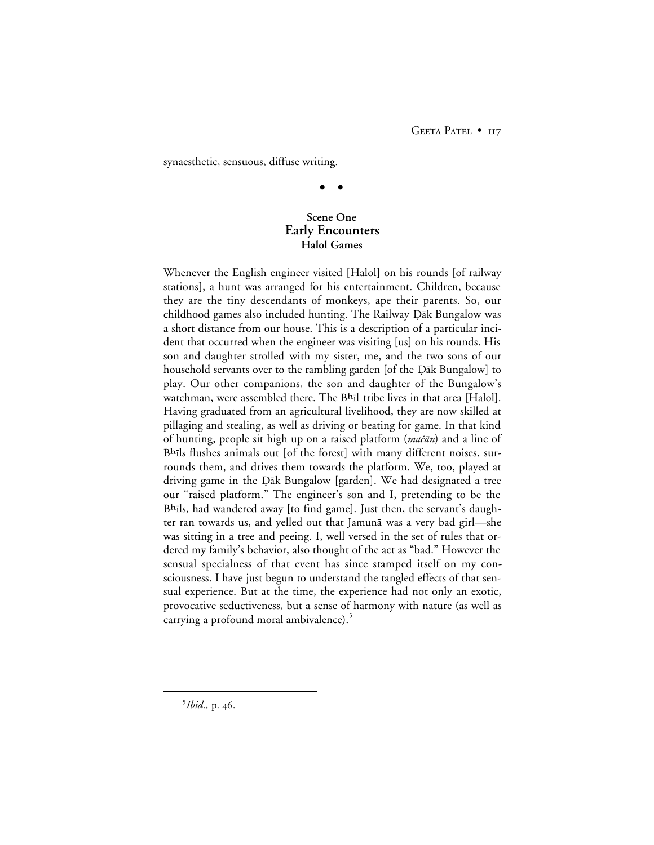synaesthetic, sensuous, diffuse writing.

• •

## **Scene One Early Encounters Halol Games**

Whenever the English engineer visited [Halol] on his rounds [of railway stations], a hunt was arranged for his entertainment. Children, because they are the tiny descendants of monkeys, ape their parents. So, our childhood games also included hunting. The Railway ∆≥k Bungalow was a short distance from our house. This is a description of a particular incident that occurred when the engineer was visiting [us] on his rounds. His son and daughter strolled with my sister, me, and the two sons of our household servants over to the rambling garden [of the Dāk Bungalow] to play. Our other companions, the son and daughter of the Bungalow's watchman, were assembled there. The Bhil tribe lives in that area [Halol]. Having graduated from an agricultural livelihood, they are now skilled at pillaging and stealing, as well as driving or beating for game. In that kind of hunting, people sit high up on a raised platform (mačān) and a line of Bhils flushes animals out [of the forest] with many different noises, surrounds them, and drives them towards the platform. We, too, played at driving game in the ∆≥k Bungalow [garden]. We had designated a tree our "raised platform." The engineer's son and I, pretending to be the Bhils, had wandered away [to find game]. Just then, the servant's daughter ran towards us, and yelled out that Jamunā was a very bad girl—she was sitting in a tree and peeing. I, well versed in the set of rules that ordered my family's behavior, also thought of the act as "bad." However the sensual specialness of that event has since stamped itself on my consciousness. I have just begun to understand the tangled effects of that sensual experience. But at the time, the experience had not only an exotic, provocative seductiveness, but a sense of harmony with nature (as well as carrying a profound moral ambivalence).<sup>5</sup>

 $rac{1}{5}$  $<sup>5</sup>Ibid., p. 46.$ </sup>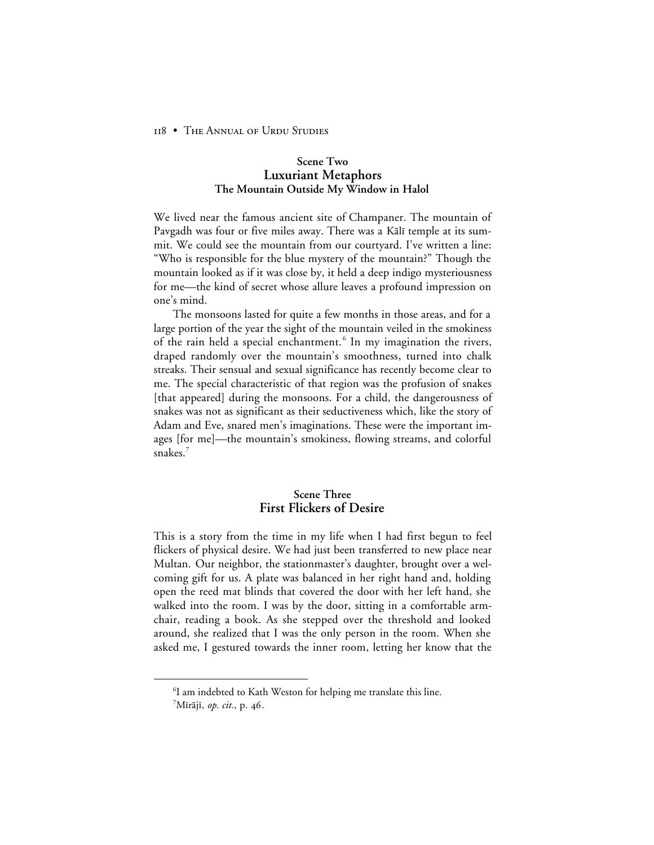118 • THE ANNUAL OF URDU STUDIES

## **Scene Two Luxuriant Metaphors The Mountain Outside My Window in Halol**

We lived near the famous ancient site of Champaner. The mountain of Pavgadh was four or five miles away. There was a Kālī temple at its summit. We could see the mountain from our courtyard. I've written a line: "Who is responsible for the blue mystery of the mountain?" Though the mountain looked as if it was close by, it held a deep indigo mysteriousness for me—the kind of secret whose allure leaves a profound impression on one's mind.

The monsoons lasted for quite a few months in those areas, and for a large portion of the year the sight of the mountain veiled in the smokiness of the rain held a special enchantment.<sup>6</sup> In my imagination the rivers, draped randomly over the mountain's smoothness, turned into chalk streaks. Their sensual and sexual significance has recently become clear to me. The special characteristic of that region was the profusion of snakes [that appeared] during the monsoons. For a child, the dangerousness of snakes was not as significant as their seductiveness which, like the story of Adam and Eve, snared men's imaginations. These were the important images [for me]—the mountain's smokiness, flowing streams, and colorful snakes.<sup>7</sup>

## **Scene Three First Flickers of Desire**

This is a story from the time in my life when I had first begun to feel flickers of physical desire. We had just been transferred to new place near Multan. Our neighbor, the stationmaster's daughter, brought over a welcoming gift for us. A plate was balanced in her right hand and, holding open the reed mat blinds that covered the door with her left hand, she walked into the room. I was by the door, sitting in a comfortable armchair, reading a book. As she stepped over the threshold and looked around, she realized that I was the only person in the room. When she asked me, I gestured towards the inner room, letting her know that the

 <sup>6</sup> <sup>6</sup>I am indebted to Kath Weston for helping me translate this line.

<sup>&</sup>lt;sup>7</sup>Mīrājī, *op. cit.*, p. 46.